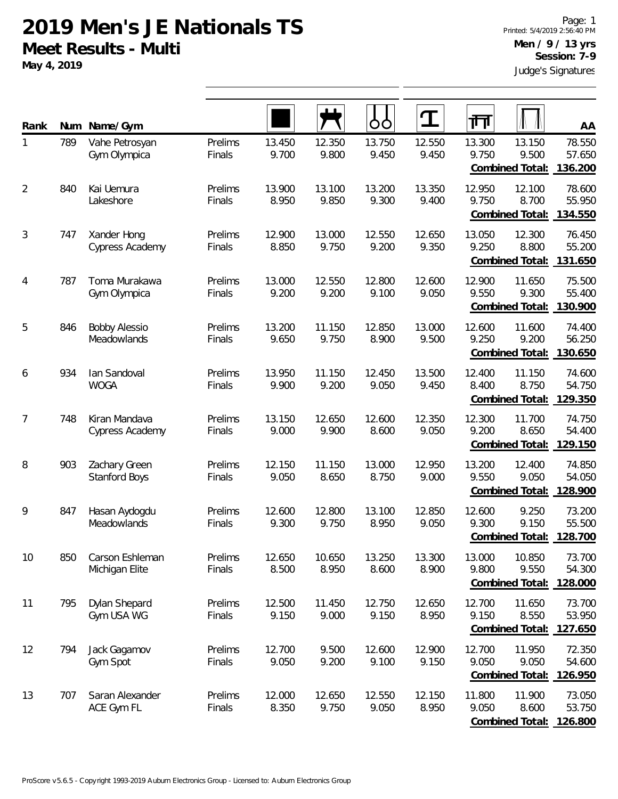**May 4, 2019**

| Rank           | Num | Name/Gym                              |                   |                 |                 | OO              | $\mathbf T$     | 帀               |                                    | AA                          |
|----------------|-----|---------------------------------------|-------------------|-----------------|-----------------|-----------------|-----------------|-----------------|------------------------------------|-----------------------------|
| 1              | 789 | Vahe Petrosyan<br>Gym Olympica        | Prelims<br>Finals | 13.450<br>9.700 | 12.350<br>9.800 | 13.750<br>9.450 | 12.550<br>9.450 | 13.300<br>9.750 | 13.150<br>9.500<br>Combined Total: | 78.550<br>57.650<br>136.200 |
| $\overline{2}$ | 840 | Kai Uemura<br>Lakeshore               | Prelims<br>Finals | 13.900<br>8.950 | 13.100<br>9.850 | 13.200<br>9.300 | 13.350<br>9.400 | 12.950<br>9.750 | 12.100<br>8.700<br>Combined Total: | 78.600<br>55.950<br>134.550 |
| 3              | 747 | Xander Hong<br>Cypress Academy        | Prelims<br>Finals | 12.900<br>8.850 | 13.000<br>9.750 | 12.550<br>9.200 | 12.650<br>9.350 | 13.050<br>9.250 | 12.300<br>8.800<br>Combined Total: | 76.450<br>55.200<br>131.650 |
| 4              | 787 | Toma Murakawa<br>Gym Olympica         | Prelims<br>Finals | 13.000<br>9.200 | 12.550<br>9.200 | 12.800<br>9.100 | 12.600<br>9.050 | 12.900<br>9.550 | 11.650<br>9.300<br>Combined Total: | 75.500<br>55.400<br>130.900 |
| 5              | 846 | <b>Bobby Alessio</b><br>Meadowlands   | Prelims<br>Finals | 13.200<br>9.650 | 11.150<br>9.750 | 12.850<br>8.900 | 13.000<br>9.500 | 12.600<br>9.250 | 11.600<br>9.200<br>Combined Total: | 74.400<br>56.250<br>130.650 |
| 6              | 934 | Ian Sandoval<br><b>WOGA</b>           | Prelims<br>Finals | 13.950<br>9.900 | 11.150<br>9.200 | 12.450<br>9.050 | 13.500<br>9.450 | 12.400<br>8.400 | 11.150<br>8.750<br>Combined Total: | 74.600<br>54.750<br>129.350 |
| 7              | 748 | Kiran Mandava<br>Cypress Academy      | Prelims<br>Finals | 13.150<br>9.000 | 12.650<br>9.900 | 12.600<br>8.600 | 12.350<br>9.050 | 12.300<br>9.200 | 11.700<br>8.650<br>Combined Total: | 74.750<br>54.400<br>129.150 |
| 8              | 903 | Zachary Green<br><b>Stanford Boys</b> | Prelims<br>Finals | 12.150<br>9.050 | 11.150<br>8.650 | 13.000<br>8.750 | 12.950<br>9.000 | 13.200<br>9.550 | 12.400<br>9.050<br>Combined Total: | 74.850<br>54.050<br>128.900 |
| 9              | 847 | Hasan Aydogdu<br>Meadowlands          | Prelims<br>Finals | 12.600<br>9.300 | 12.800<br>9.750 | 13.100<br>8.950 | 12.850<br>9.050 | 12.600<br>9.300 | 9.250<br>9.150<br>Combined Total:  | 73.200<br>55.500<br>128.700 |
| 10             | 850 | Carson Eshleman<br>Michigan Elite     | Prelims<br>Finals | 12.650<br>8.500 | 10.650<br>8.950 | 13.250<br>8.600 | 13.300<br>8.900 | 13.000<br>9.800 | 10.850<br>9.550<br>Combined Total: | 73.700<br>54.300<br>128.000 |
| 11             | 795 | Dylan Shepard<br>Gym USA WG           | Prelims<br>Finals | 12.500<br>9.150 | 11.450<br>9.000 | 12.750<br>9.150 | 12.650<br>8.950 | 12.700<br>9.150 | 11.650<br>8.550<br>Combined Total: | 73.700<br>53.950<br>127.650 |
| 12             | 794 | Jack Gagamov<br>Gym Spot              | Prelims<br>Finals | 12.700<br>9.050 | 9.500<br>9.200  | 12.600<br>9.100 | 12.900<br>9.150 | 12.700<br>9.050 | 11.950<br>9.050<br>Combined Total: | 72.350<br>54.600<br>126.950 |
| 13             | 707 | Saran Alexander<br>ACE Gym FL         | Prelims<br>Finals | 12.000<br>8.350 | 12.650<br>9.750 | 12.550<br>9.050 | 12.150<br>8.950 | 11.800<br>9.050 | 11.900<br>8.600<br>Combined Total: | 73.050<br>53.750<br>126.800 |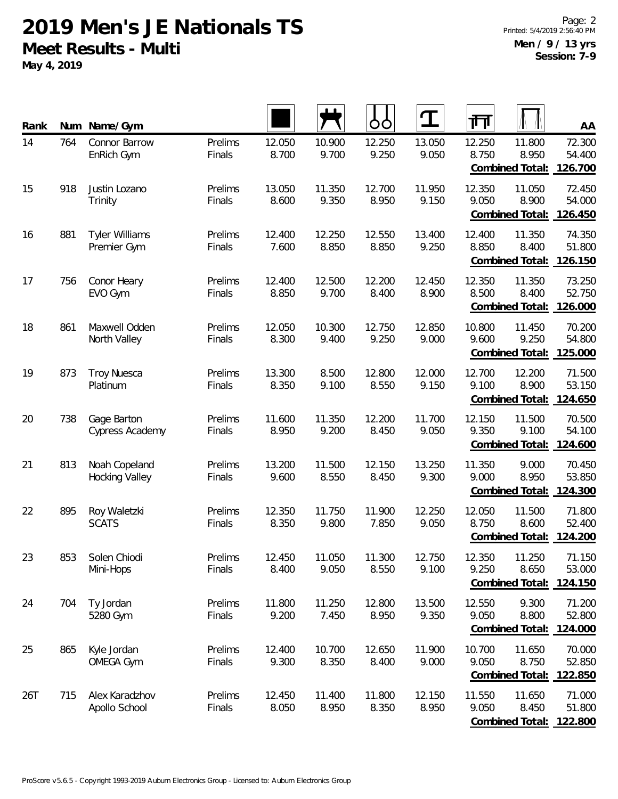**May 4, 2019**

| Rank | Num | Name/Gym                               |                   |                 |                 | OO              | $\mathbf T$     | 襾               |                                           | AA                          |
|------|-----|----------------------------------------|-------------------|-----------------|-----------------|-----------------|-----------------|-----------------|-------------------------------------------|-----------------------------|
| 14   | 764 | Connor Barrow<br>EnRich Gym            | Prelims<br>Finals | 12.050<br>8.700 | 10.900<br>9.700 | 12.250<br>9.250 | 13.050<br>9.050 | 12.250<br>8.750 | 11.800<br>8.950<br>Combined Total:        | 72.300<br>54.400<br>126.700 |
| 15   | 918 | Justin Lozano<br>Trinity               | Prelims<br>Finals | 13.050<br>8.600 | 11.350<br>9.350 | 12.700<br>8.950 | 11.950<br>9.150 | 12.350<br>9.050 | 11.050<br>8.900<br>Combined Total:        | 72.450<br>54.000<br>126.450 |
| 16   | 881 | <b>Tyler Williams</b><br>Premier Gym   | Prelims<br>Finals | 12.400<br>7.600 | 12.250<br>8.850 | 12.550<br>8.850 | 13.400<br>9.250 | 12.400<br>8.850 | 11.350<br>8.400<br>Combined Total:        | 74.350<br>51.800<br>126.150 |
| 17   | 756 | Conor Heary<br>EVO Gym                 | Prelims<br>Finals | 12.400<br>8.850 | 12.500<br>9.700 | 12.200<br>8.400 | 12.450<br>8.900 | 12.350<br>8.500 | 11.350<br>8.400<br>Combined Total:        | 73.250<br>52.750<br>126.000 |
| 18   | 861 | Maxwell Odden<br>North Valley          | Prelims<br>Finals | 12.050<br>8.300 | 10.300<br>9.400 | 12.750<br>9.250 | 12.850<br>9.000 | 10.800<br>9.600 | 11.450<br>9.250<br>Combined Total:        | 70.200<br>54.800<br>125.000 |
| 19   | 873 | <b>Troy Nuesca</b><br>Platinum         | Prelims<br>Finals | 13.300<br>8.350 | 8.500<br>9.100  | 12.800<br>8.550 | 12.000<br>9.150 | 12.700<br>9.100 | 12.200<br>8.900<br>Combined Total:        | 71.500<br>53.150<br>124.650 |
| 20   | 738 | Gage Barton<br>Cypress Academy         | Prelims<br>Finals | 11.600<br>8.950 | 11.350<br>9.200 | 12.200<br>8.450 | 11.700<br>9.050 | 12.150<br>9.350 | 11.500<br>9.100<br>Combined Total:        | 70.500<br>54.100<br>124.600 |
| 21   | 813 | Noah Copeland<br><b>Hocking Valley</b> | Prelims<br>Finals | 13.200<br>9.600 | 11.500<br>8.550 | 12.150<br>8.450 | 13.250<br>9.300 | 11.350<br>9.000 | 9.000<br>8.950<br>Combined Total:         | 70.450<br>53.850<br>124.300 |
| 22   | 895 | Roy Waletzki<br><b>SCATS</b>           | Prelims<br>Finals | 12.350<br>8.350 | 11.750<br>9.800 | 11.900<br>7.850 | 12.250<br>9.050 | 12.050<br>8.750 | 11.500<br>8.600<br>Combined Total:        | 71.800<br>52.400<br>124.200 |
| 23   | 853 | Solen Chiodi<br>Mini-Hops              | Prelims<br>Finals | 12.450<br>8.400 | 11.050<br>9.050 | 11.300<br>8.550 | 12.750<br>9.100 | 12.350<br>9.250 | 11.250<br>8.650<br><b>Combined Total:</b> | 71.150<br>53.000<br>124.150 |
| 24   | 704 | Ty Jordan<br>5280 Gym                  | Prelims<br>Finals | 11.800<br>9.200 | 11.250<br>7.450 | 12.800<br>8.950 | 13.500<br>9.350 | 12.550<br>9.050 | 9.300<br>8.800<br>Combined Total:         | 71.200<br>52.800<br>124.000 |
| 25   | 865 | Kyle Jordan<br><b>OMEGA Gym</b>        | Prelims<br>Finals | 12.400<br>9.300 | 10.700<br>8.350 | 12.650<br>8.400 | 11.900<br>9.000 | 10.700<br>9.050 | 11.650<br>8.750<br>Combined Total:        | 70.000<br>52.850<br>122.850 |
| 26T  | 715 | Alex Karadzhov<br>Apollo School        | Prelims<br>Finals | 12.450<br>8.050 | 11.400<br>8.950 | 11.800<br>8.350 | 12.150<br>8.950 | 11.550<br>9.050 | 11.650<br>8.450<br><b>Combined Total:</b> | 71.000<br>51.800<br>122.800 |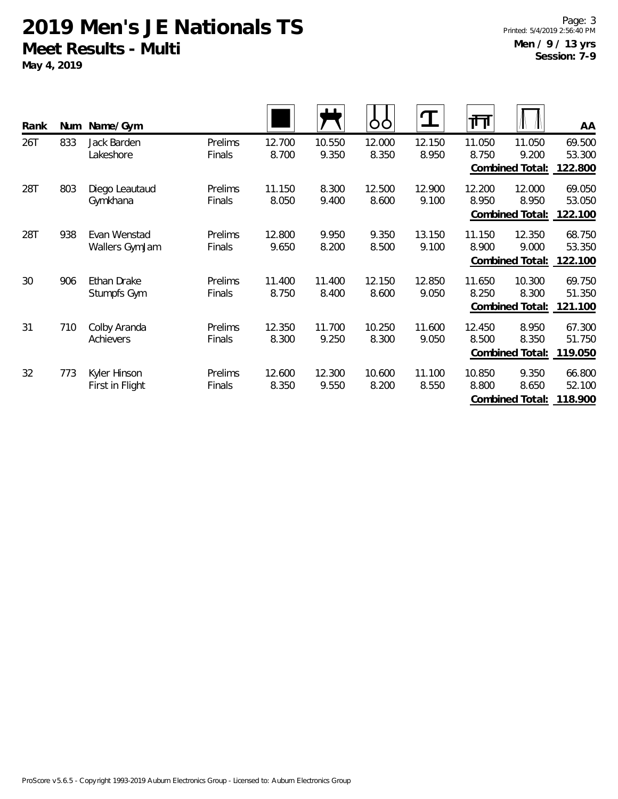**May 4, 2019**

Page: 3 Printed: 5/4/2019 2:56:40 PM **Men / 9 / 13 yrs Session: 7-9**

| Rank | Num | Name/Gym                        |                   |                 | ட               | O               | $\bf{T}$        | गि              |                                           | AA                          |
|------|-----|---------------------------------|-------------------|-----------------|-----------------|-----------------|-----------------|-----------------|-------------------------------------------|-----------------------------|
| 26T  | 833 | Jack Barden<br>Lakeshore        | Prelims<br>Finals | 12.700<br>8.700 | 10.550<br>9.350 | 12.000<br>8.350 | 12.150<br>8.950 | 11.050<br>8.750 | 11.050<br>9.200<br>Combined Total:        | 69.500<br>53.300<br>122.800 |
| 28T  | 803 | Diego Leautaud<br>Gymkhana      | Prelims<br>Finals | 11.150<br>8.050 | 8.300<br>9.400  | 12.500<br>8.600 | 12.900<br>9.100 | 12.200<br>8.950 | 12.000<br>8.950<br><b>Combined Total:</b> | 69.050<br>53.050<br>122.100 |
| 28T  | 938 | Evan Wenstad<br>Wallers GymJam  | Prelims<br>Finals | 12.800<br>9.650 | 9.950<br>8.200  | 9.350<br>8.500  | 13.150<br>9.100 | 11.150<br>8.900 | 12.350<br>9.000<br>Combined Total:        | 68.750<br>53.350<br>122.100 |
| 30   | 906 | Ethan Drake<br>Stumpfs Gym      | Prelims<br>Finals | 11.400<br>8.750 | 11.400<br>8.400 | 12.150<br>8.600 | 12.850<br>9.050 | 11.650<br>8.250 | 10.300<br>8.300<br>Combined Total:        | 69.750<br>51.350<br>121.100 |
| 31   | 710 | Colby Aranda<br>Achievers       | Prelims<br>Finals | 12.350<br>8.300 | 11.700<br>9.250 | 10.250<br>8.300 | 11.600<br>9.050 | 12.450<br>8.500 | 8.950<br>8.350<br>Combined Total:         | 67.300<br>51.750<br>119.050 |
| 32   | 773 | Kyler Hinson<br>First in Flight | Prelims<br>Finals | 12.600<br>8.350 | 12.300<br>9.550 | 10.600<br>8.200 | 11.100<br>8.550 | 10.850<br>8.800 | 9.350<br>8.650<br>Combined Total:         | 66.800<br>52.100<br>118.900 |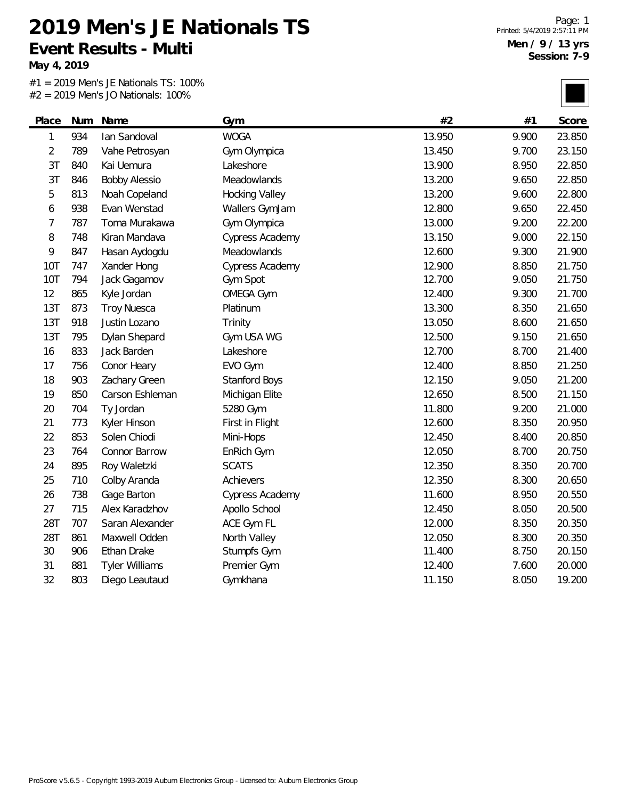**May 4, 2019**

|                |     | 17 IVIOITS SO HULLOIRES. |                       |        |       |        |
|----------------|-----|--------------------------|-----------------------|--------|-------|--------|
| Place          | Num | Name                     | Gym                   | #2     | #1    | Score  |
| 1              | 934 | lan Sandoval             | <b>WOGA</b>           | 13.950 | 9.900 | 23.850 |
| $\overline{2}$ | 789 | Vahe Petrosyan           | Gym Olympica          | 13.450 | 9.700 | 23.150 |
| 3 <sub>T</sub> | 840 | Kai Uemura               | Lakeshore             | 13.900 | 8.950 | 22.850 |
| 3T             | 846 | <b>Bobby Alessio</b>     | Meadowlands           | 13.200 | 9.650 | 22.850 |
| 5              | 813 | Noah Copeland            | <b>Hocking Valley</b> | 13.200 | 9.600 | 22.800 |
| 6              | 938 | Evan Wenstad             | Wallers GymJam        | 12.800 | 9.650 | 22.450 |
| 7              | 787 | Toma Murakawa            | Gym Olympica          | 13.000 | 9.200 | 22.200 |
| 8              | 748 | Kiran Mandava            | Cypress Academy       | 13.150 | 9.000 | 22.150 |
| 9              | 847 | Hasan Aydogdu            | Meadowlands           | 12.600 | 9.300 | 21.900 |
| 10T            | 747 | Xander Hong              | Cypress Academy       | 12.900 | 8.850 | 21.750 |
| <b>10T</b>     | 794 | Jack Gagamov             | Gym Spot              | 12.700 | 9.050 | 21.750 |
| 12             | 865 | Kyle Jordan              | <b>OMEGA Gym</b>      | 12.400 | 9.300 | 21.700 |
| 13T            | 873 | <b>Troy Nuesca</b>       | Platinum              | 13.300 | 8.350 | 21.650 |
| 13T            | 918 | Justin Lozano            | Trinity               | 13.050 | 8.600 | 21.650 |
| 13T            | 795 | Dylan Shepard            | Gym USA WG            | 12.500 | 9.150 | 21.650 |
| 16             | 833 | Jack Barden              | Lakeshore             | 12.700 | 8.700 | 21.400 |
| 17             | 756 | Conor Heary              | EVO Gym               | 12.400 | 8.850 | 21.250 |
| 18             | 903 | Zachary Green            | Stanford Boys         | 12.150 | 9.050 | 21.200 |
| 19             | 850 | Carson Eshleman          | Michigan Elite        | 12.650 | 8.500 | 21.150 |
| 20             | 704 | Ty Jordan                | 5280 Gym              | 11.800 | 9.200 | 21.000 |
| 21             | 773 | Kyler Hinson             | First in Flight       | 12.600 | 8.350 | 20.950 |
| 22             | 853 | Solen Chiodi             | Mini-Hops             | 12.450 | 8.400 | 20.850 |
| 23             | 764 | Connor Barrow            | EnRich Gym            | 12.050 | 8.700 | 20.750 |
| 24             | 895 | Roy Waletzki             | <b>SCATS</b>          | 12.350 | 8.350 | 20.700 |
| 25             | 710 | Colby Aranda             | Achievers             | 12.350 | 8.300 | 20.650 |
| 26             | 738 | Gage Barton              | Cypress Academy       | 11.600 | 8.950 | 20.550 |
| 27             | 715 | Alex Karadzhov           | Apollo School         | 12.450 | 8.050 | 20.500 |
| 28T            | 707 | Saran Alexander          | ACE Gym FL            | 12.000 | 8.350 | 20.350 |
| 28T            | 861 | Maxwell Odden            | North Valley          | 12.050 | 8.300 | 20.350 |
| 30             | 906 | Ethan Drake              | Stumpfs Gym           | 11.400 | 8.750 | 20.150 |
| 31             | 881 | <b>Tyler Williams</b>    | Premier Gym           | 12.400 | 7.600 | 20.000 |
| 32             | 803 | Diego Leautaud           | Gymkhana              | 11.150 | 8.050 | 19.200 |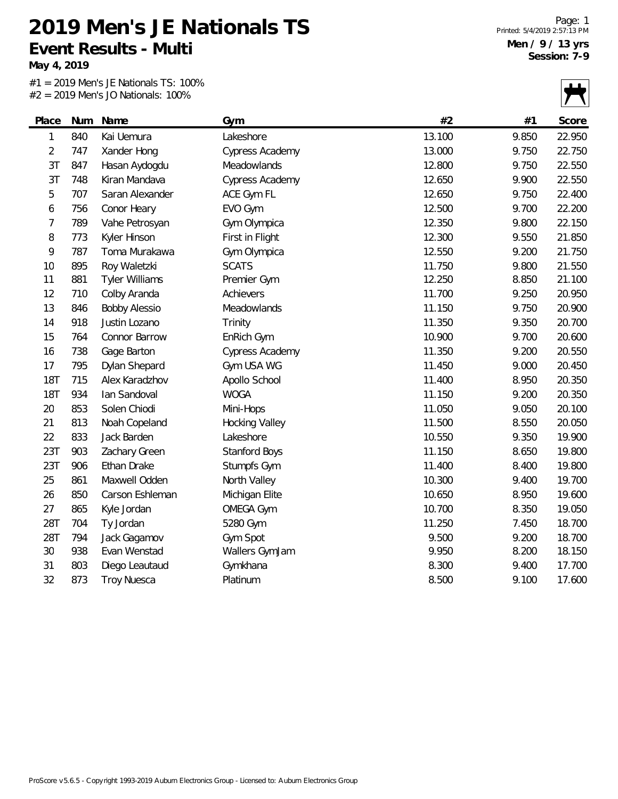**May 4, 2019**

|                |     | $-$ 2017 IVICITS JO INGHORIOS. TOO 70 |                       |        |       |        |
|----------------|-----|---------------------------------------|-----------------------|--------|-------|--------|
| Place          | Num | Name                                  | Gym                   | #2     | #1    | Score  |
| 1              | 840 | Kai Uemura                            | Lakeshore             | 13.100 | 9.850 | 22.950 |
| $\overline{2}$ | 747 | Xander Hong                           | Cypress Academy       | 13.000 | 9.750 | 22.750 |
| 3 <sub>T</sub> | 847 | Hasan Aydogdu                         | Meadowlands           | 12.800 | 9.750 | 22.550 |
| 3T             | 748 | Kiran Mandava                         | Cypress Academy       | 12.650 | 9.900 | 22.550 |
| 5              | 707 | Saran Alexander                       | ACE Gym FL            | 12.650 | 9.750 | 22.400 |
| 6              | 756 | Conor Heary                           | EVO Gym               | 12.500 | 9.700 | 22.200 |
| 7              | 789 | Vahe Petrosyan                        | Gym Olympica          | 12.350 | 9.800 | 22.150 |
| 8              | 773 | Kyler Hinson                          | First in Flight       | 12.300 | 9.550 | 21.850 |
| 9              | 787 | Toma Murakawa                         | Gym Olympica          | 12.550 | 9.200 | 21.750 |
| 10             | 895 | Roy Waletzki                          | <b>SCATS</b>          | 11.750 | 9.800 | 21.550 |
| 11             | 881 | <b>Tyler Williams</b>                 | Premier Gym           | 12.250 | 8.850 | 21.100 |
| 12             | 710 | Colby Aranda                          | Achievers             | 11.700 | 9.250 | 20.950 |
| 13             | 846 | <b>Bobby Alessio</b>                  | Meadowlands           | 11.150 | 9.750 | 20.900 |
| 14             | 918 | Justin Lozano                         | Trinity               | 11.350 | 9.350 | 20.700 |
| 15             | 764 | Connor Barrow                         | EnRich Gym            | 10.900 | 9.700 | 20.600 |
| 16             | 738 | Gage Barton                           | Cypress Academy       | 11.350 | 9.200 | 20.550 |
| 17             | 795 | Dylan Shepard                         | Gym USA WG            | 11.450 | 9.000 | 20.450 |
| <b>18T</b>     | 715 | Alex Karadzhov                        | Apollo School         | 11.400 | 8.950 | 20.350 |
| <b>18T</b>     | 934 | lan Sandoval                          | <b>WOGA</b>           | 11.150 | 9.200 | 20.350 |
| 20             | 853 | Solen Chiodi                          | Mini-Hops             | 11.050 | 9.050 | 20.100 |
| 21             | 813 | Noah Copeland                         | <b>Hocking Valley</b> | 11.500 | 8.550 | 20.050 |
| 22             | 833 | Jack Barden                           | Lakeshore             | 10.550 | 9.350 | 19.900 |
| 23T            | 903 | Zachary Green                         | Stanford Boys         | 11.150 | 8.650 | 19.800 |
| 23T            | 906 | Ethan Drake                           | Stumpfs Gym           | 11.400 | 8.400 | 19.800 |
| 25             | 861 | Maxwell Odden                         | North Valley          | 10.300 | 9.400 | 19.700 |
| 26             | 850 | Carson Eshleman                       | Michigan Elite        | 10.650 | 8.950 | 19.600 |
| 27             | 865 | Kyle Jordan                           | <b>OMEGA Gym</b>      | 10.700 | 8.350 | 19.050 |
| 28T            | 704 | Ty Jordan                             | 5280 Gym              | 11.250 | 7.450 | 18.700 |
| 28T            | 794 | Jack Gagamov                          | Gym Spot              | 9.500  | 9.200 | 18.700 |
| 30             | 938 | Evan Wenstad                          | Wallers GymJam        | 9.950  | 8.200 | 18.150 |
| 31             | 803 | Diego Leautaud                        | Gymkhana              | 8.300  | 9.400 | 17.700 |
| 32             | 873 | <b>Troy Nuesca</b>                    | Platinum              | 8.500  | 9.100 | 17.600 |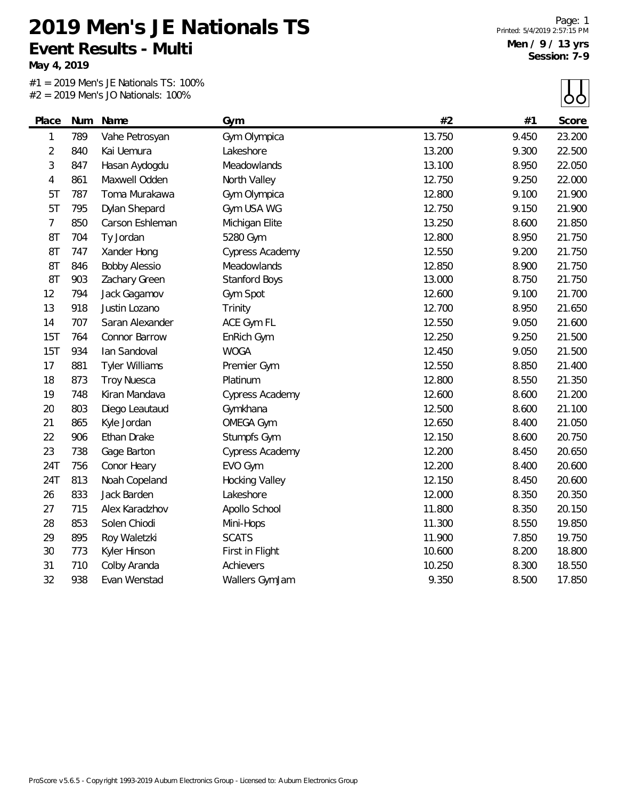**May 4, 2019**

|                |     | 17 IVIOITS SO HULLOIRES. |                        |        |       | ပပ     |
|----------------|-----|--------------------------|------------------------|--------|-------|--------|
| Place          | Num | Name                     | Gym                    | #2     | #1    | Score  |
| 1              | 789 | Vahe Petrosyan           | Gym Olympica           | 13.750 | 9.450 | 23.200 |
| $\overline{2}$ | 840 | Kai Uemura               | Lakeshore              | 13.200 | 9.300 | 22.500 |
| 3              | 847 | Hasan Aydogdu            | Meadowlands            | 13.100 | 8.950 | 22.050 |
| 4              | 861 | Maxwell Odden            | North Valley           | 12.750 | 9.250 | 22.000 |
| 5T             | 787 | Toma Murakawa            | Gym Olympica           | 12.800 | 9.100 | 21.900 |
| 5T             | 795 | Dylan Shepard            | Gym USA WG             | 12.750 | 9.150 | 21.900 |
| $\overline{7}$ | 850 | Carson Eshleman          | Michigan Elite         | 13.250 | 8.600 | 21.850 |
| 8T             | 704 | Ty Jordan                | 5280 Gym               | 12.800 | 8.950 | 21.750 |
| 8T             | 747 | Xander Hong              | <b>Cypress Academy</b> | 12.550 | 9.200 | 21.750 |
| 8T             | 846 | <b>Bobby Alessio</b>     | Meadowlands            | 12.850 | 8.900 | 21.750 |
| 8T             | 903 | Zachary Green            | Stanford Boys          | 13.000 | 8.750 | 21.750 |
| 12             | 794 | Jack Gagamov             | Gym Spot               | 12.600 | 9.100 | 21.700 |
| 13             | 918 | Justin Lozano            | Trinity                | 12.700 | 8.950 | 21.650 |
| 14             | 707 | Saran Alexander          | ACE Gym FL             | 12.550 | 9.050 | 21.600 |
| 15T            | 764 | Connor Barrow            | EnRich Gym             | 12.250 | 9.250 | 21.500 |
| 15T            | 934 | lan Sandoval             | <b>WOGA</b>            | 12.450 | 9.050 | 21.500 |
| 17             | 881 | <b>Tyler Williams</b>    | Premier Gym            | 12.550 | 8.850 | 21.400 |
| 18             | 873 | <b>Troy Nuesca</b>       | Platinum               | 12.800 | 8.550 | 21.350 |
| 19             | 748 | Kiran Mandava            | Cypress Academy        | 12.600 | 8.600 | 21.200 |
| 20             | 803 | Diego Leautaud           | Gymkhana               | 12.500 | 8.600 | 21.100 |
| 21             | 865 | Kyle Jordan              | <b>OMEGA Gym</b>       | 12.650 | 8.400 | 21.050 |
| 22             | 906 | Ethan Drake              | Stumpfs Gym            | 12.150 | 8.600 | 20.750 |
| 23             | 738 | Gage Barton              | Cypress Academy        | 12.200 | 8.450 | 20.650 |
| 24T            | 756 | Conor Heary              | EVO Gym                | 12.200 | 8.400 | 20.600 |
| 24T            | 813 | Noah Copeland            | <b>Hocking Valley</b>  | 12.150 | 8.450 | 20.600 |
| 26             | 833 | Jack Barden              | Lakeshore              | 12.000 | 8.350 | 20.350 |
| 27             | 715 | Alex Karadzhov           | Apollo School          | 11.800 | 8.350 | 20.150 |
| 28             | 853 | Solen Chiodi             | Mini-Hops              | 11.300 | 8.550 | 19.850 |
| 29             | 895 | Roy Waletzki             | <b>SCATS</b>           | 11.900 | 7.850 | 19.750 |
| 30             | 773 | Kyler Hinson             | First in Flight        | 10.600 | 8.200 | 18.800 |
| 31             | 710 | Colby Aranda             | Achievers              | 10.250 | 8.300 | 18.550 |
| 32             | 938 | Evan Wenstad             | Wallers GymJam         | 9.350  | 8.500 | 17.850 |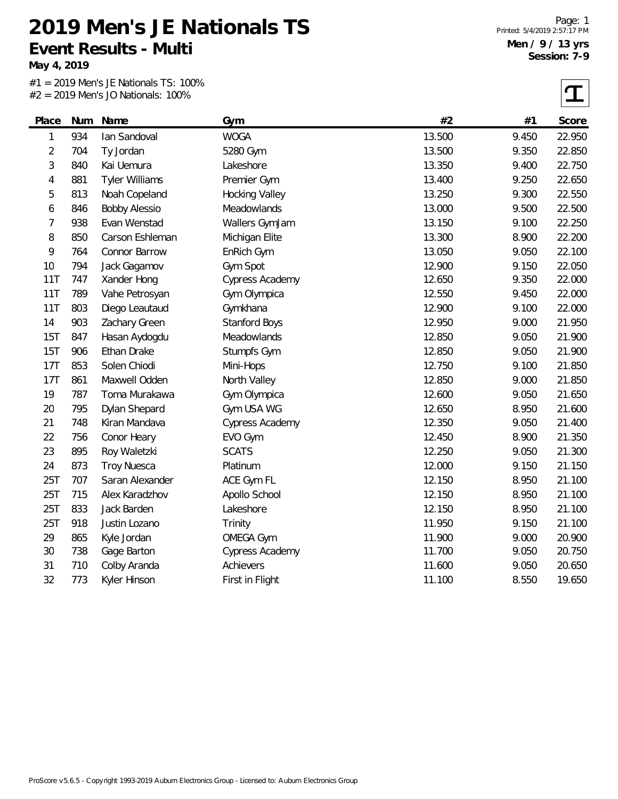**May 4, 2019**

|                |     | $\sim$ 2017 INCITS 30 INGHORIOS. TOO 70 |                       |        |       |        |
|----------------|-----|-----------------------------------------|-----------------------|--------|-------|--------|
| Place          | Num | Name                                    | Gym                   | #2     | #1    | Score  |
| 1              | 934 | lan Sandoval                            | <b>WOGA</b>           | 13.500 | 9.450 | 22.950 |
| $\overline{2}$ | 704 | Ty Jordan                               | 5280 Gym              | 13.500 | 9.350 | 22.850 |
| 3              | 840 | Kai Uemura                              | Lakeshore             | 13.350 | 9.400 | 22.750 |
| 4              | 881 | <b>Tyler Williams</b>                   | Premier Gym           | 13.400 | 9.250 | 22.650 |
| 5              | 813 | Noah Copeland                           | <b>Hocking Valley</b> | 13.250 | 9.300 | 22.550 |
| 6              | 846 | <b>Bobby Alessio</b>                    | Meadowlands           | 13.000 | 9.500 | 22.500 |
| 7              | 938 | Evan Wenstad                            | Wallers GymJam        | 13.150 | 9.100 | 22.250 |
| 8              | 850 | Carson Eshleman                         | Michigan Elite        | 13.300 | 8.900 | 22.200 |
| 9              | 764 | Connor Barrow                           | EnRich Gym            | 13.050 | 9.050 | 22.100 |
| 10             | 794 | Jack Gagamov                            | Gym Spot              | 12.900 | 9.150 | 22.050 |
| 11T            | 747 | Xander Hong                             | Cypress Academy       | 12.650 | 9.350 | 22.000 |
| 11T            | 789 | Vahe Petrosyan                          | Gym Olympica          | 12.550 | 9.450 | 22.000 |
| 11T            | 803 | Diego Leautaud                          | Gymkhana              | 12.900 | 9.100 | 22.000 |
| 14             | 903 | Zachary Green                           | Stanford Boys         | 12.950 | 9.000 | 21.950 |
| 15T            | 847 | Hasan Aydogdu                           | Meadowlands           | 12.850 | 9.050 | 21.900 |
| 15T            | 906 | Ethan Drake                             | Stumpfs Gym           | 12.850 | 9.050 | 21.900 |
| 17T            | 853 | Solen Chiodi                            | Mini-Hops             | 12.750 | 9.100 | 21.850 |
| 17T            | 861 | Maxwell Odden                           | North Valley          | 12.850 | 9.000 | 21.850 |
| 19             | 787 | Toma Murakawa                           | Gym Olympica          | 12.600 | 9.050 | 21.650 |
| 20             | 795 | Dylan Shepard                           | Gym USA WG            | 12.650 | 8.950 | 21.600 |
| 21             | 748 | Kiran Mandava                           | Cypress Academy       | 12.350 | 9.050 | 21.400 |
| 22             | 756 | Conor Heary                             | EVO Gym               | 12.450 | 8.900 | 21.350 |
| 23             | 895 | Roy Waletzki                            | <b>SCATS</b>          | 12.250 | 9.050 | 21.300 |
| 24             | 873 | <b>Troy Nuesca</b>                      | Platinum              | 12.000 | 9.150 | 21.150 |
| 25T            | 707 | Saran Alexander                         | ACE Gym FL            | 12.150 | 8.950 | 21.100 |
| 25T            | 715 | Alex Karadzhov                          | Apollo School         | 12.150 | 8.950 | 21.100 |
| 25T            | 833 | Jack Barden                             | Lakeshore             | 12.150 | 8.950 | 21.100 |
| 25T            | 918 | Justin Lozano                           | Trinity               | 11.950 | 9.150 | 21.100 |
| 29             | 865 | Kyle Jordan                             | <b>OMEGA Gym</b>      | 11.900 | 9.000 | 20.900 |
| 30             | 738 | Gage Barton                             | Cypress Academy       | 11.700 | 9.050 | 20.750 |
| 31             | 710 | Colby Aranda                            | Achievers             | 11.600 | 9.050 | 20.650 |
| 32             | 773 | Kyler Hinson                            | First in Flight       | 11.100 | 8.550 | 19.650 |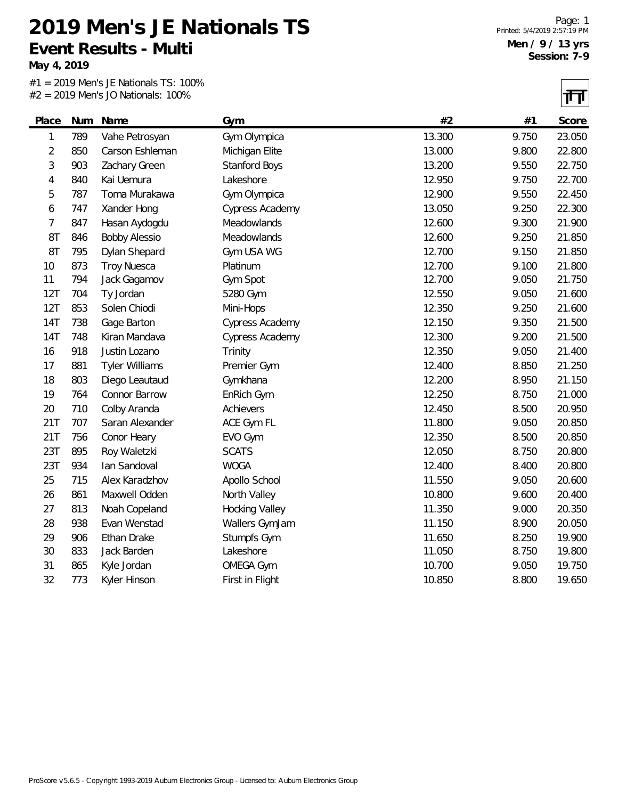**May 4, 2019**

|                |     | $\sim$ 2017 INCITS 30 INGHORIOS. TOO 70 |                       |        |       | 1' H   |
|----------------|-----|-----------------------------------------|-----------------------|--------|-------|--------|
| Place          | Num | Name                                    | Gym                   | #2     | #1    | Score  |
| 1              | 789 | Vahe Petrosyan                          | Gym Olympica          | 13.300 | 9.750 | 23.050 |
| $\overline{c}$ | 850 | Carson Eshleman                         | Michigan Elite        | 13.000 | 9.800 | 22.800 |
| 3              | 903 | Zachary Green                           | Stanford Boys         | 13.200 | 9.550 | 22.750 |
| 4              | 840 | Kai Uemura                              | Lakeshore             | 12.950 | 9.750 | 22.700 |
| 5              | 787 | Toma Murakawa                           | Gym Olympica          | 12.900 | 9.550 | 22.450 |
| 6              | 747 | Xander Hong                             | Cypress Academy       | 13.050 | 9.250 | 22.300 |
| 7              | 847 | Hasan Aydogdu                           | Meadowlands           | 12.600 | 9.300 | 21.900 |
| 8T             | 846 | <b>Bobby Alessio</b>                    | Meadowlands           | 12.600 | 9.250 | 21.850 |
| 8T             | 795 | Dylan Shepard                           | Gym USA WG            | 12.700 | 9.150 | 21.850 |
| 10             | 873 | <b>Troy Nuesca</b>                      | Platinum              | 12.700 | 9.100 | 21.800 |
| 11             | 794 | Jack Gagamov                            | Gym Spot              | 12.700 | 9.050 | 21.750 |
| 12T            | 704 | Ty Jordan                               | 5280 Gym              | 12.550 | 9.050 | 21.600 |
| 12T            | 853 | Solen Chiodi                            | Mini-Hops             | 12.350 | 9.250 | 21.600 |
| 14T            | 738 | Gage Barton                             | Cypress Academy       | 12.150 | 9.350 | 21.500 |
| <b>14T</b>     | 748 | Kiran Mandava                           | Cypress Academy       | 12.300 | 9.200 | 21.500 |
| 16             | 918 | Justin Lozano                           | Trinity               | 12.350 | 9.050 | 21.400 |
| 17             | 881 | <b>Tyler Williams</b>                   | Premier Gym           | 12.400 | 8.850 | 21.250 |
| 18             | 803 | Diego Leautaud                          | Gymkhana              | 12.200 | 8.950 | 21.150 |
| 19             | 764 | Connor Barrow                           | EnRich Gym            | 12.250 | 8.750 | 21.000 |
| 20             | 710 | Colby Aranda                            | Achievers             | 12.450 | 8.500 | 20.950 |
| 21T            | 707 | Saran Alexander                         | ACE Gym FL            | 11.800 | 9.050 | 20.850 |
| <b>21T</b>     | 756 | Conor Heary                             | EVO Gym               | 12.350 | 8.500 | 20.850 |
| 23T            | 895 | Roy Waletzki                            | <b>SCATS</b>          | 12.050 | 8.750 | 20.800 |
| 23T            | 934 | Ian Sandoval                            | <b>WOGA</b>           | 12.400 | 8.400 | 20.800 |
| 25             | 715 | Alex Karadzhov                          | Apollo School         | 11.550 | 9.050 | 20.600 |
| 26             | 861 | Maxwell Odden                           | North Valley          | 10.800 | 9.600 | 20.400 |
| 27             | 813 | Noah Copeland                           | <b>Hocking Valley</b> | 11.350 | 9.000 | 20.350 |
| 28             | 938 | Evan Wenstad                            | Wallers GymJam        | 11.150 | 8.900 | 20.050 |
| 29             | 906 | Ethan Drake                             | Stumpfs Gym           | 11.650 | 8.250 | 19.900 |
| 30             | 833 | Jack Barden                             | Lakeshore             | 11.050 | 8.750 | 19.800 |
| 31             | 865 | Kyle Jordan                             | <b>OMEGA Gym</b>      | 10.700 | 9.050 | 19.750 |
| 32             | 773 | Kyler Hinson                            | First in Flight       | 10.850 | 8.800 | 19.650 |